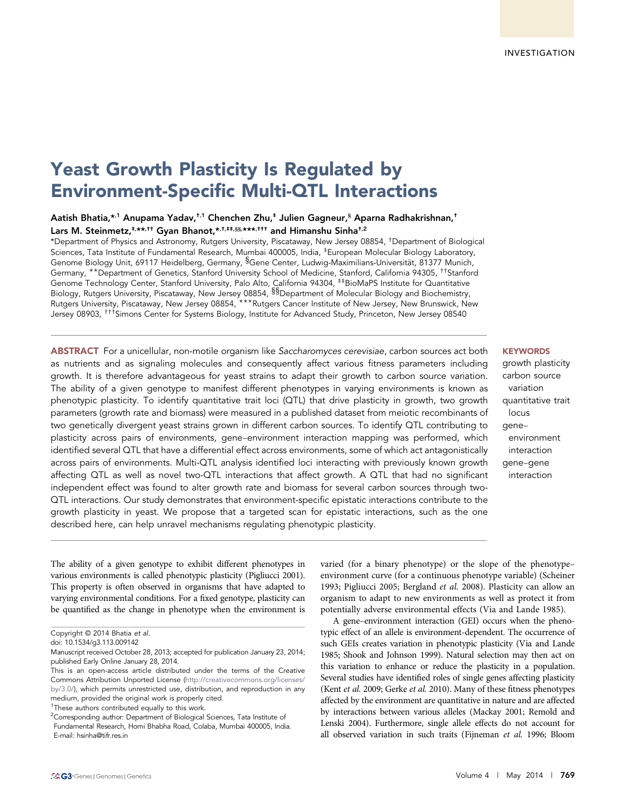# Yeast Growth Plasticity Is Regulated by Environment-Specific Multi-QTL Interactions

# Aatish Bhatia,\*<sup>,1</sup> Anupama Yadav,<sup>†,1</sup> Chenchen Zhu,<sup>‡</sup> Julien Gagneur,<sup>§</sup> Aparna Radhakrishnan,<sup>†</sup> Lars M. Steinmetz,<sup>‡,</sup>\*\*<sup>,††</sup> Gyan Bhanot,\*<sup>,†,‡‡,§§,\*\*\*,††† and Himanshu Sinha<sup>†,2</sup></sup>

\*Department of Physics and Astronomy, Rutgers University, Piscataway, New Jersey 08854, †Department of Biological Sciences, Tata Institute of Fundamental Research, Mumbai 400005, India, ‡European Molecular Biology Laboratory, Genome Biology Unit, 69117 Heidelberg, Germany, §Gene Center, Ludwig-Maximilians-Universität, 81377 Munich, Germany, \*\*Department of Genetics, Stanford University School of Medicine, Stanford, California 94305, ††Stanford Genome Technology Center, Stanford University, Palo Alto, California 94304, ‡‡BioMaPS Institute for Quantitative Biology, Rutgers University, Piscataway, New Jersey 08854, <sup>§§</sup>Department of Molecular Biology and Biochemistry, Rutgers University, Piscataway, New Jersey 08854, \*\*\*Rutgers Cancer Institute of New Jersey, New Brunswick, New Jersey 08903, †††Simons Center for Systems Biology, Institute for Advanced Study, Princeton, New Jersey 08540

ABSTRACT For a unicellular, non-motile organism like Saccharomyces cerevisiae, carbon sources act both as nutrients and as signaling molecules and consequently affect various fitness parameters including growth. It is therefore advantageous for yeast strains to adapt their growth to carbon source variation. The ability of a given genotype to manifest different phenotypes in varying environments is known as phenotypic plasticity. To identify quantitative trait loci (QTL) that drive plasticity in growth, two growth parameters (growth rate and biomass) were measured in a published dataset from meiotic recombinants of two genetically divergent yeast strains grown in different carbon sources. To identify QTL contributing to plasticity across pairs of environments, gene–environment interaction mapping was performed, which identified several QTL that have a differential effect across environments, some of which act antagonistically across pairs of environments. Multi-QTL analysis identified loci interacting with previously known growth affecting QTL as well as novel two-QTL interactions that affect growth. A QTL that had no significant independent effect was found to alter growth rate and biomass for several carbon sources through two-QTL interactions. Our study demonstrates that environment-specific epistatic interactions contribute to the growth plasticity in yeast. We propose that a targeted scan for epistatic interactions, such as the one described here, can help unravel mechanisms regulating phenotypic plasticity.

# **KEYWORDS**

growth plasticity carbon source variation quantitative trait locus gene– environment interaction gene–gene interaction

The ability of a given genotype to exhibit different phenotypes in various environments is called phenotypic plasticity (Pigliucci 2001). This property is often observed in organisms that have adapted to varying environmental conditions. For a fixed genotype, plasticity can be quantified as the change in phenotype when the environment is

varied (for a binary phenotype) or the slope of the phenotype– environment curve (for a continuous phenotype variable) (Scheiner 1993; Pigliucci 2005; Bergland *et al.* 2008). Plasticity can allow an organism to adapt to new environments as well as protect it from potentially adverse environmental effects (Via and Lande 1985).

A gene–environment interaction (GEI) occurs when the phenotypic effect of an allele is environment-dependent. The occurrence of such GEIs creates variation in phenotypic plasticity (Via and Lande 1985; Shook and Johnson 1999). Natural selection may then act on this variation to enhance or reduce the plasticity in a population. Several studies have identified roles of single genes affecting plasticity (Kent *et al.* 2009; Gerke *et al.* 2010). Many of these fitness phenotypes affected by the environment are quantitative in nature and are affected by interactions between various alleles (Mackay 2001; Remold and Lenski 2004). Furthermore, single allele effects do not account for all observed variation in such traits (Fijneman *et al.* 1996; Bloom

Copyright © 2014 Bhatia et al.

doi: 10.1534/g3.113.009142

Manuscript received October 28, 2013; accepted for publication January 23, 2014; published Early Online January 28, 2014.

This is an open-access article distributed under the terms of the Creative Commons Attribution Unported License (http://creativecommons.org/licenses/ by/3.0/), which permits unrestricted use, distribution, and reproduction in any medium, provided the original work is properly cited.

<sup>&</sup>lt;sup>1</sup>These authors contributed equally to this work.

<sup>&</sup>lt;sup>2</sup>Corresponding author: Department of Biological Sciences, Tata Institute of Fundamental Research, Homi Bhabha Road, Colaba, Mumbai 400005, India. E-mail: hsinha@tifr.res.in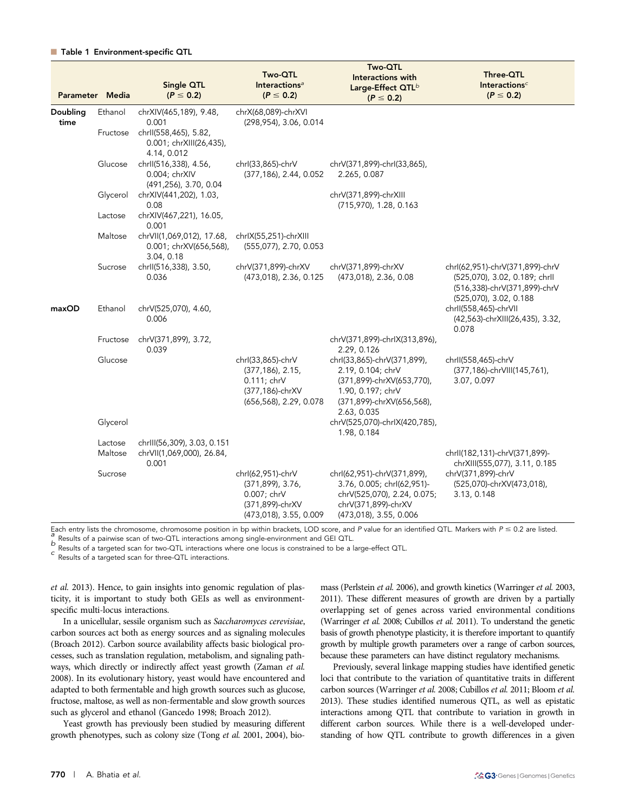#### ■ Table 1 Environment-specific QTL

| Parameter Media  |                    | <b>Single QTL</b><br>$(P \le 0.2)$                                | <b>Two-QTL</b><br>Interactions <sup>a</sup><br>$(P \le 0.2)$                                          | <b>Two-QTL</b><br><b>Interactions with</b><br>Large-Effect QTL <sup>b</sup><br>$(P \le 0.2)$                                                   | Three-QTL<br>Interactions $c$<br>$(P \le 0.2)$                                                                             |
|------------------|--------------------|-------------------------------------------------------------------|-------------------------------------------------------------------------------------------------------|------------------------------------------------------------------------------------------------------------------------------------------------|----------------------------------------------------------------------------------------------------------------------------|
| Doubling<br>time | Ethanol            | chrXIV(465,189), 9.48,<br>0.001                                   | chrX(68,089)-chrXVI<br>(298, 954), 3.06, 0.014                                                        |                                                                                                                                                |                                                                                                                            |
|                  | Fructose           | chrll(558,465), 5.82,<br>0.001; chrXIII(26,435),<br>4.14, 0.012   |                                                                                                       |                                                                                                                                                |                                                                                                                            |
|                  | Glucose            | chrII(516,338), 4.56,<br>0.004; chrXIV<br>(491,256), 3.70, 0.04   | chrl(33,865)-chrV<br>(377,186), 2.44, 0.052                                                           | chrV(371,899)-chrI(33,865),<br>2.265, 0.087                                                                                                    |                                                                                                                            |
|                  | Glycerol           | chrXIV(441,202), 1.03,<br>0.08                                    |                                                                                                       | chrV(371,899)-chrXIII<br>(715,970), 1.28, 0.163                                                                                                |                                                                                                                            |
|                  | Lactose            | chrXIV(467,221), 16.05,<br>0.001                                  |                                                                                                       |                                                                                                                                                |                                                                                                                            |
|                  | Maltose            | chrVII(1,069,012), 17.68,<br>0.001; chrXV(656,568),<br>3.04, 0.18 | chrIX(55,251)-chrXIII<br>(555,077), 2.70, 0.053                                                       |                                                                                                                                                |                                                                                                                            |
|                  | Sucrose            | chrII(516,338), 3.50,<br>0.036                                    | chrV(371,899)-chrXV<br>(473,018), 2.36, 0.125                                                         | chrV(371,899)-chrXV<br>(473,018), 2.36, 0.08                                                                                                   | chrl(62,951)-chrV(371,899)-chrV<br>(525,070), 3.02, 0.189; chrll<br>(516,338)-chrV(371,899)-chrV<br>(525,070), 3.02, 0.188 |
| maxOD            | Ethanol            | chrV(525,070), 4.60,<br>0.006                                     |                                                                                                       |                                                                                                                                                | chrII(558,465)-chrVII<br>(42,563)-chrXIII(26,435), 3.32,<br>0.078                                                          |
|                  | Fructose           | chrV(371,899), 3.72,<br>0.039                                     |                                                                                                       | chrV(371,899)-chrIX(313,896),<br>2.29, 0.126                                                                                                   |                                                                                                                            |
|                  | Glucose            |                                                                   | chrl(33,865)-chrV<br>$(377, 186)$ , 2.15,<br>0.111; chrV<br>(377,186)-chrXV<br>(656,568), 2.29, 0.078 | chrl(33,865)-chrV(371,899),<br>2.19, 0.104; chrV<br>(371,899)-chrXV(653,770),<br>1.90, 0.197; chrV<br>(371,899)-chrXV(656,568),<br>2.63, 0.035 | chrII(558,465)-chrV<br>(377,186)-chrVIII(145,761),<br>3.07, 0.097                                                          |
|                  | Glycerol           |                                                                   |                                                                                                       | chrV(525,070)-chrIX(420,785),<br>1.98, 0.184                                                                                                   |                                                                                                                            |
|                  | Lactose<br>Maltose | chrIII(56,309), 3.03, 0.151<br>chrVII(1,069,000), 26.84,<br>0.001 |                                                                                                       |                                                                                                                                                | chrll(182,131)-chrV(371,899)-<br>chrXIII(555,077), 3.11, 0.185                                                             |
|                  | Sucrose            |                                                                   | chrl(62,951)-chrV<br>$(371, 899)$ , 3.76,<br>0.007; chrV<br>(371,899)-chrXV<br>(473,018), 3.55, 0.009 | chrl(62,951)-chrV(371,899),<br>3.76, 0.005; chrl(62,951)-<br>chrV(525,070), 2.24, 0.075;<br>chrV(371,899)-chrXV<br>(473,018), 3.55, 0.006      | chrV(371,899)-chrV<br>(525,070)-chrXV(473,018),<br>3.13, 0.148                                                             |

Each entry lists the chromosome, chromosome position in bp within brackets, LOD score, and P value for an identified QTL. Markers with  $P \le 0.2$  are listed.<br>a Davida of a pointing soon of the QTL interactions are an inclu  $\overset{a}{b}$  Results of a pairwise scan of two-QTL interactions among single-environment and GEI QTL.

Results of a targeted scan for two-QTL interactions where one locus is constrained to be a large-effect QTL.

c Results of a targeted scan for three-QTL interactions.

*et al.* 2013). Hence, to gain insights into genomic regulation of plasticity, it is important to study both GEIs as well as environmentspecific multi-locus interactions.

In a unicellular, sessile organism such as *Saccharomyces cerevisiae*, carbon sources act both as energy sources and as signaling molecules (Broach 2012). Carbon source availability affects basic biological processes, such as translation regulation, metabolism, and signaling pathways, which directly or indirectly affect yeast growth (Zaman *et al.* 2008). In its evolutionary history, yeast would have encountered and adapted to both fermentable and high growth sources such as glucose, fructose, maltose, as well as non-fermentable and slow growth sources such as glycerol and ethanol (Gancedo 1998; Broach 2012).

Yeast growth has previously been studied by measuring different growth phenotypes, such as colony size (Tong *et al.* 2001, 2004), biomass (Perlstein *et al.* 2006), and growth kinetics (Warringer *et al.* 2003, 2011). These different measures of growth are driven by a partially overlapping set of genes across varied environmental conditions (Warringer *et al.* 2008; Cubillos *et al.* 2011). To understand the genetic basis of growth phenotype plasticity, it is therefore important to quantify growth by multiple growth parameters over a range of carbon sources, because these parameters can have distinct regulatory mechanisms.

Previously, several linkage mapping studies have identified genetic loci that contribute to the variation of quantitative traits in different carbon sources (Warringer *et al.* 2008; Cubillos *et al.* 2011; Bloom *et al.* 2013). These studies identified numerous QTL, as well as epistatic interactions among QTL that contribute to variation in growth in different carbon sources. While there is a well-developed understanding of how QTL contribute to growth differences in a given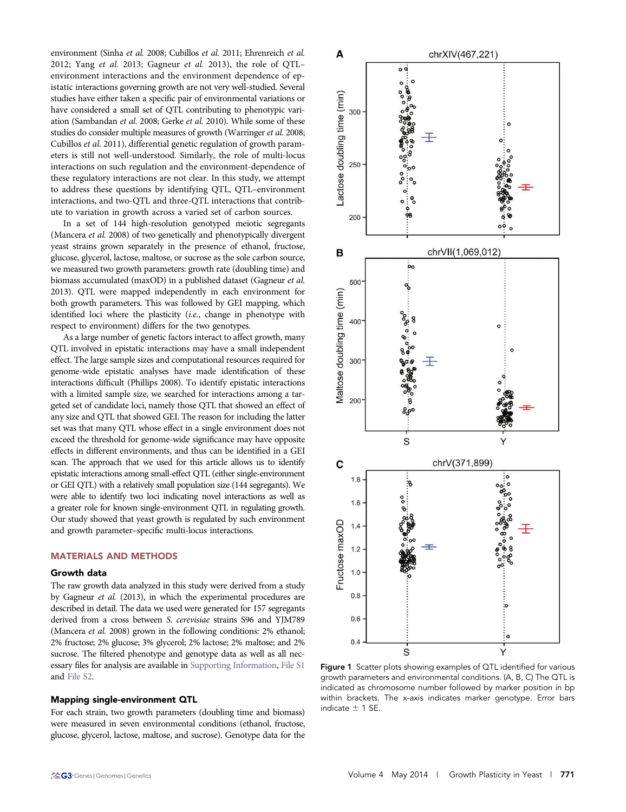environment (Sinha *et al.* 2008; Cubillos *et al.* 2011; Ehrenreich *et al.* 2012; Yang *et al.* 2013; Gagneur *et al.* 2013), the role of QTL– environment interactions and the environment dependence of epistatic interactions governing growth are not very well-studied. Several studies have either taken a specific pair of environmental variations or have considered a small set of QTL contributing to phenotypic variation (Sambandan *et al.* 2008; Gerke *et al.* 2010). While some of these studies do consider multiple measures of growth (Warringer *et al.* 2008; Cubillos *et al.* 2011), differential genetic regulation of growth parameters is still not well-understood. Similarly, the role of multi-locus interactions on such regulation and the environment-dependence of these regulatory interactions are not clear. In this study, we attempt to address these questions by identifying QTL, QTL–environment interactions, and two-QTL and three-QTL interactions that contribute to variation in growth across a varied set of carbon sources.

In a set of 144 high-resolution genotyped meiotic segregants (Mancera *et al.* 2008) of two genetically and phenotypically divergent yeast strains grown separately in the presence of ethanol, fructose, glucose, glycerol, lactose, maltose, or sucrose as the sole carbon source, we measured two growth parameters: growth rate (doubling time) and biomass accumulated (maxOD) in a published dataset (Gagneur *et al.* 2013). QTL were mapped independently in each environment for both growth parameters. This was followed by GEI mapping, which identified loci where the plasticity (*i.e.*, change in phenotype with respect to environment) differs for the two genotypes.

As a large number of genetic factors interact to affect growth, many QTL involved in epistatic interactions may have a small independent effect. The large sample sizes and computational resources required for genome-wide epistatic analyses have made identification of these interactions difficult (Phillips 2008). To identify epistatic interactions with a limited sample size, we searched for interactions among a targeted set of candidate loci, namely those QTL that showed an effect of any size and QTL that showed GEI. The reason for including the latter set was that many QTL whose effect in a single environment does not exceed the threshold for genome-wide significance may have opposite effects in different environments, and thus can be identified in a GEI scan. The approach that we used for this article allows us to identify epistatic interactions among small-effect QTL (either single-environment or GEI QTL) with a relatively small population size (144 segregants). We were able to identify two loci indicating novel interactions as well as a greater role for known single-environment QTL in regulating growth. Our study showed that yeast growth is regulated by such environment and growth parameter–specific multi-locus interactions.

#### MATERIALS AND METHODS

#### Growth data

The raw growth data analyzed in this study were derived from a study by Gagneur *et al.* (2013), in which the experimental procedures are described in detail. The data we used were generated for 157 segregants derived from a cross between *S. cerevisiae* strains S96 and YJM789 (Mancera *et al.* 2008) grown in the following conditions: 2% ethanol; 2% fructose; 2% glucose; 3% glycerol; 2% lactose; 2% maltose; and 2% sucrose. The filtered phenotype and genotype data as well as all necessary files for analysis are available in Supporting Information, File S1 and File S2.

#### Mapping single-environment QTL

For each strain, two growth parameters (doubling time and biomass) were measured in seven environmental conditions (ethanol, fructose, glucose, glycerol, lactose, maltose, and sucrose). Genotype data for the



Figure 1 Scatter plots showing examples of QTL identified for various growth parameters and environmental conditions. (A, B, C) The QTL is indicated as chromosome number followed by marker position in bp within brackets. The x-axis indicates marker genotype. Error bars indicate  $\pm$  1 SE.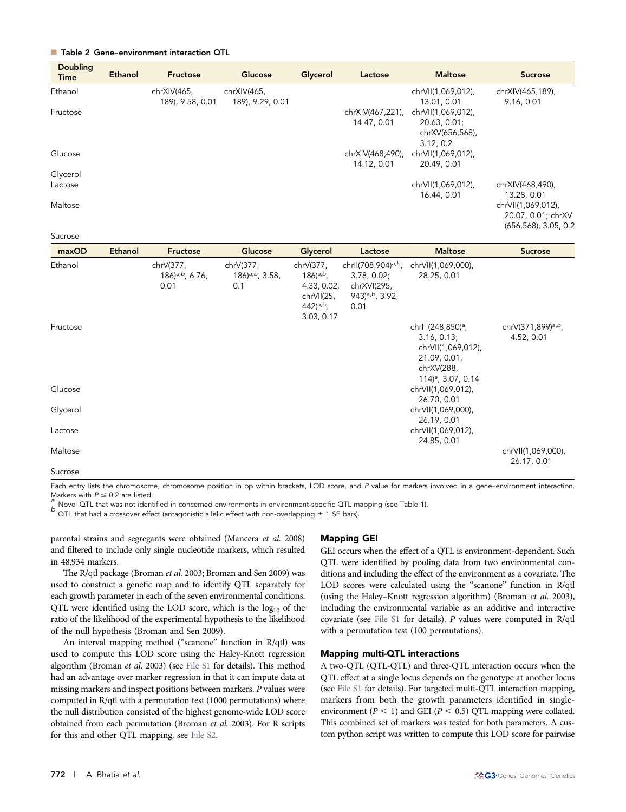#### ■ Table 2 Gene–environment interaction OTL

| <b>Doubling</b><br><b>Time</b> | Ethanol | <b>Fructose</b>                                   | Glucose                                   | Glycerol                                                                                   | Lactose                                                                                                | <b>Maltose</b>                                                                                    | <b>Sucrose</b>                                                                      |
|--------------------------------|---------|---------------------------------------------------|-------------------------------------------|--------------------------------------------------------------------------------------------|--------------------------------------------------------------------------------------------------------|---------------------------------------------------------------------------------------------------|-------------------------------------------------------------------------------------|
| Ethanol                        |         | chrXIV(465,<br>189), 9.58, 0.01                   | chrXIV(465,<br>189), 9.29, 0.01           |                                                                                            |                                                                                                        | chrVII(1,069,012),<br>13.01, 0.01                                                                 | chrXIV(465,189),<br>9.16, 0.01                                                      |
| Fructose                       |         |                                                   |                                           |                                                                                            | chrXIV(467,221),<br>14.47, 0.01                                                                        | chrVII(1,069,012),<br>20.63, 0.01;<br>chrXV(656,568),<br>3.12, 0.2                                |                                                                                     |
| Glucose                        |         |                                                   |                                           |                                                                                            | chrXIV(468,490),<br>14.12, 0.01                                                                        | chrVII(1,069,012),<br>20.49, 0.01                                                                 |                                                                                     |
| Glycerol<br>Lactose            |         |                                                   |                                           |                                                                                            |                                                                                                        | chrVII(1,069,012),                                                                                | chrXIV(468,490),                                                                    |
| Maltose                        |         |                                                   |                                           |                                                                                            |                                                                                                        | 16.44, 0.01                                                                                       | 13.28, 0.01<br>chrVII(1,069,012),<br>20.07, 0.01; chrXV<br>$(656, 568)$ , 3.05, 0.2 |
| Sucrose                        |         |                                                   |                                           |                                                                                            |                                                                                                        |                                                                                                   |                                                                                     |
| maxOD                          | Ethanol | <b>Fructose</b>                                   | Glucose                                   | Glycerol                                                                                   | Lactose                                                                                                | <b>Maltose</b>                                                                                    | <b>Sucrose</b>                                                                      |
| Ethanol                        |         | chrV(377,<br>$186$ <sup>a,b</sup> , 6.76,<br>0.01 | chrV(377,<br>$(186)^{a,b}$ , 3.58,<br>0.1 | chrV(377,<br>$(186)^{a,b}$ ,<br>4.33, 0.02;<br>chrVII(25,<br>$(442)^{a,b}$ .<br>3.03, 0.17 | chrII(708,904) <sup>a,b</sup> ,<br>3.78, 0.02;<br>chrXVI(295,<br>$943)$ <sup>a,b</sup> , 3.92,<br>0.01 | chrVII(1,069,000),<br>28.25, 0.01                                                                 |                                                                                     |
| Fructose                       |         |                                                   |                                           |                                                                                            |                                                                                                        | chrIII(248,850) <sup>a</sup> ,<br>3.16, 0.13;<br>chrVII(1,069,012),<br>21.09, 0.01;<br>chrXV(288, | chrV(371,899) <sup>a,b</sup> ,<br>4.52, 0.01                                        |

114)<sup>a</sup>, 3.07, 0.14 Glucose chrVII(1,069,012), 26.70, 0.01 Glycerol chrVII(1,069,000), 26.19, 0.01 Lactose chrVII(1,069,012), 24.85, 0.01 Maltose chrVII(1,069,000), chrVII(1,069,000), chrVII(1,069,000), chrVII(1,069,000), chrVII(1,069,000), chrVII(1,069,000), chrVII(1,069,000), chrVII(1,069,000), chrVII(1,069,000), chrVII(1,069,000), chrVII(1,069,000), chrVI 26.17, 0.01 Sucrose

Each entry lists the chromosome, chromosome position in bp within brackets, LOD score, and P value for markers involved in a gene–environment interaction. Markers with  $P \le 0.2$  are listed.

 $\overrightarrow{b}$  Novel QTL that was not identified in concerned environments in environment-specific QTL mapping (see Table 1).<br> $\overrightarrow{b}$  QTL that had a secondary office of (attendariationally) office with a secondary in a  $\pm$  1.

QTL that had a crossover effect (antagonistic allelic effect with non-overlapping  $\pm$  1 SE bars).

parental strains and segregants were obtained (Mancera *et al.* 2008) and filtered to include only single nucleotide markers, which resulted in 48,934 markers.

The R/qtl package (Broman *et al.* 2003; Broman and Sen 2009) was used to construct a genetic map and to identify QTL separately for each growth parameter in each of the seven environmental conditions. QTL were identified using the LOD score, which is the  $log_{10}$  of the ratio of the likelihood of the experimental hypothesis to the likelihood of the null hypothesis (Broman and Sen 2009).

An interval mapping method ("scanone" function in R/qtl) was used to compute this LOD score using the Haley-Knott regression algorithm (Broman *et al.* 2003) (see File S1 for details). This method had an advantage over marker regression in that it can impute data at missing markers and inspect positions between markers. *P* values were computed in R/qtl with a permutation test (1000 permutations) where the null distribution consisted of the highest genome-wide LOD score obtained from each permutation (Broman *et al.* 2003). For R scripts for this and other QTL mapping, see File S2.

#### Mapping GEI

GEI occurs when the effect of a QTL is environment-dependent. Such QTL were identified by pooling data from two environmental conditions and including the effect of the environment as a covariate. The LOD scores were calculated using the "scanone" function in R/qtl (using the Haley–Knott regression algorithm) (Broman *et al.* 2003), including the environmental variable as an additive and interactive covariate (see File S1 for details). *P* values were computed in R/qtl with a permutation test (100 permutations).

#### Mapping multi-QTL interactions

A two-QTL (QTL-QTL) and three-QTL interaction occurs when the QTL effect at a single locus depends on the genotype at another locus (see File S1 for details). For targeted multi-QTL interaction mapping, markers from both the growth parameters identified in singleenvironment  $(P < 1)$  and GEI ( $P < 0.5$ ) QTL mapping were collated. This combined set of markers was tested for both parameters. A custom python script was written to compute this LOD score for pairwise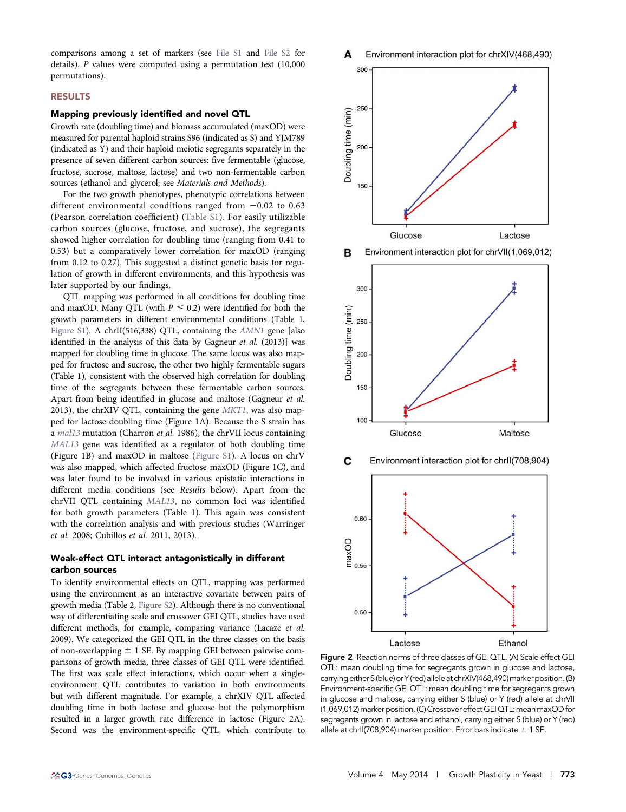comparisons among a set of markers (see File S1 and File S2 for details). *P* values were computed using a permutation test (10,000 permutations).

#### RESULTS

### Mapping previously identified and novel QTL

Growth rate (doubling time) and biomass accumulated (maxOD) were measured for parental haploid strains S96 (indicated as S) and YJM789 (indicated as Y) and their haploid meiotic segregants separately in the presence of seven different carbon sources: five fermentable (glucose, fructose, sucrose, maltose, lactose) and two non-fermentable carbon sources (ethanol and glycerol; see *Materials and Methods*).

For the two growth phenotypes, phenotypic correlations between different environmental conditions ranged from  $-0.02$  to 0.63 (Pearson correlation coefficient) (Table S1). For easily utilizable carbon sources (glucose, fructose, and sucrose), the segregants showed higher correlation for doubling time (ranging from 0.41 to 0.53) but a comparatively lower correlation for maxOD (ranging from 0.12 to 0.27). This suggested a distinct genetic basis for regulation of growth in different environments, and this hypothesis was later supported by our findings.

QTL mapping was performed in all conditions for doubling time and maxOD. Many QTL (with  $P \leq 0.2$ ) were identified for both the growth parameters in different environmental conditions (Table 1, Figure S1). A chrII(516,338) QTL, containing the *AMN1* gene [also identified in the analysis of this data by Gagneur *et al.* (2013)] was mapped for doubling time in glucose. The same locus was also mapped for fructose and sucrose, the other two highly fermentable sugars (Table 1), consistent with the observed high correlation for doubling time of the segregants between these fermentable carbon sources. Apart from being identified in glucose and maltose (Gagneur *et al.* 2013), the chrXIV QTL, containing the gene *MKT1*, was also mapped for lactose doubling time (Figure 1A). Because the S strain has a *mal13* mutation (Charron *et al.* 1986), the chrVII locus containing *MAL13* gene was identified as a regulator of both doubling time (Figure 1B) and maxOD in maltose (Figure S1). A locus on chrV was also mapped, which affected fructose maxOD (Figure 1C), and was later found to be involved in various epistatic interactions in different media conditions (see *Results* below). Apart from the chrVII QTL containing *MAL13*, no common loci was identified for both growth parameters (Table 1). This again was consistent with the correlation analysis and with previous studies (Warringer *et al.* 2008; Cubillos *et al.* 2011, 2013).

## Weak-effect QTL interact antagonistically in different carbon sources

To identify environmental effects on QTL, mapping was performed using the environment as an interactive covariate between pairs of growth media (Table 2, Figure S2). Although there is no conventional way of differentiating scale and crossover GEI QTL, studies have used different methods, for example, comparing variance (Lacaze *et al.* 2009). We categorized the GEI QTL in the three classes on the basis of non-overlapping  $\pm$  1 SE. By mapping GEI between pairwise comparisons of growth media, three classes of GEI QTL were identified. The first was scale effect interactions, which occur when a singleenvironment QTL contributes to variation in both environments but with different magnitude. For example, a chrXIV QTL affected doubling time in both lactose and glucose but the polymorphism resulted in a larger growth rate difference in lactose (Figure 2A). Second was the environment-specific QTL, which contribute to





Environment interaction plot for chrVII(1,069,012) в







Figure 2 Reaction norms of three classes of GEI QTL. (A) Scale effect GEI QTL: mean doubling time for segregants grown in glucose and lactose, carrying either S (blue) or Y (red) allele at chrXIV(468,490) marker position. (B) Environment-specific GEI QTL: mean doubling time for segregants grown in glucose and maltose, carrying either S (blue) or Y (red) allele at chrVII (1,069,012)markerposition.(C)Crossover effectGEIQTL:meanmaxODfor segregants grown in lactose and ethanol, carrying either S (blue) or Y (red) allele at chrII(708,904) marker position. Error bars indicate  $\pm$  1 SE.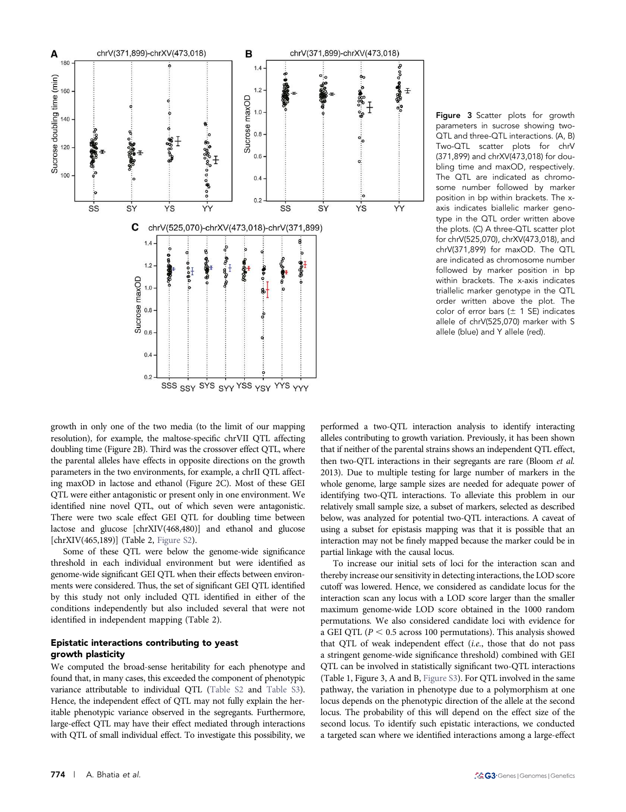

Figure 3 Scatter plots for growth parameters in sucrose showing two-QTL and three-QTL interactions. (A, B) Two-QTL scatter plots for chrV (371,899) and chrXV(473,018) for doubling time and maxOD, respectively. The QTL are indicated as chromosome number followed by marker position in bp within brackets. The xaxis indicates biallelic marker genotype in the QTL order written above the plots. (C) A three-QTL scatter plot for chrV(525,070), chrXV(473,018), and chrV(371,899) for maxOD. The QTL are indicated as chromosome number followed by marker position in bp within brackets. The x-axis indicates triallelic marker genotype in the QTL order written above the plot. The color of error bars  $(± 1 SE)$  indicates allele of chrV(525,070) marker with S allele (blue) and Y allele (red).

growth in only one of the two media (to the limit of our mapping resolution), for example, the maltose-specific chrVII QTL affecting doubling time (Figure 2B). Third was the crossover effect QTL, where the parental alleles have effects in opposite directions on the growth parameters in the two environments, for example, a chrII QTL affecting maxOD in lactose and ethanol (Figure 2C). Most of these GEI QTL were either antagonistic or present only in one environment. We identified nine novel QTL, out of which seven were antagonistic. There were two scale effect GEI QTL for doubling time between lactose and glucose [chrXIV(468,480)] and ethanol and glucose [chrXIV(465,189)] (Table 2, Figure S2).

Some of these QTL were below the genome-wide significance threshold in each individual environment but were identified as genome-wide significant GEI QTL when their effects between environments were considered. Thus, the set of significant GEI QTL identified by this study not only included QTL identified in either of the conditions independently but also included several that were not identified in independent mapping (Table 2).

### Epistatic interactions contributing to yeast growth plasticity

We computed the broad-sense heritability for each phenotype and found that, in many cases, this exceeded the component of phenotypic variance attributable to individual QTL (Table S2 and Table S3). Hence, the independent effect of QTL may not fully explain the heritable phenotypic variance observed in the segregants. Furthermore, large-effect QTL may have their effect mediated through interactions with QTL of small individual effect. To investigate this possibility, we

performed a two-QTL interaction analysis to identify interacting alleles contributing to growth variation. Previously, it has been shown that if neither of the parental strains shows an independent QTL effect, then two-QTL interactions in their segregants are rare (Bloom *et al.* 2013). Due to multiple testing for large number of markers in the whole genome, large sample sizes are needed for adequate power of identifying two-QTL interactions. To alleviate this problem in our relatively small sample size, a subset of markers, selected as described below, was analyzed for potential two-QTL interactions. A caveat of using a subset for epistasis mapping was that it is possible that an interaction may not be finely mapped because the marker could be in partial linkage with the causal locus.

To increase our initial sets of loci for the interaction scan and thereby increase our sensitivity in detecting interactions, the LOD score cutoff was lowered. Hence, we considered as candidate locus for the interaction scan any locus with a LOD score larger than the smaller maximum genome-wide LOD score obtained in the 1000 random permutations. We also considered candidate loci with evidence for a GEI QTL ( $P < 0.5$  across 100 permutations). This analysis showed that QTL of weak independent effect (*i.e.*, those that do not pass a stringent genome-wide significance threshold) combined with GEI QTL can be involved in statistically significant two-QTL interactions (Table 1, Figure 3, A and B, Figure S3). For QTL involved in the same pathway, the variation in phenotype due to a polymorphism at one locus depends on the phenotypic direction of the allele at the second locus. The probability of this will depend on the effect size of the second locus. To identify such epistatic interactions, we conducted a targeted scan where we identified interactions among a large-effect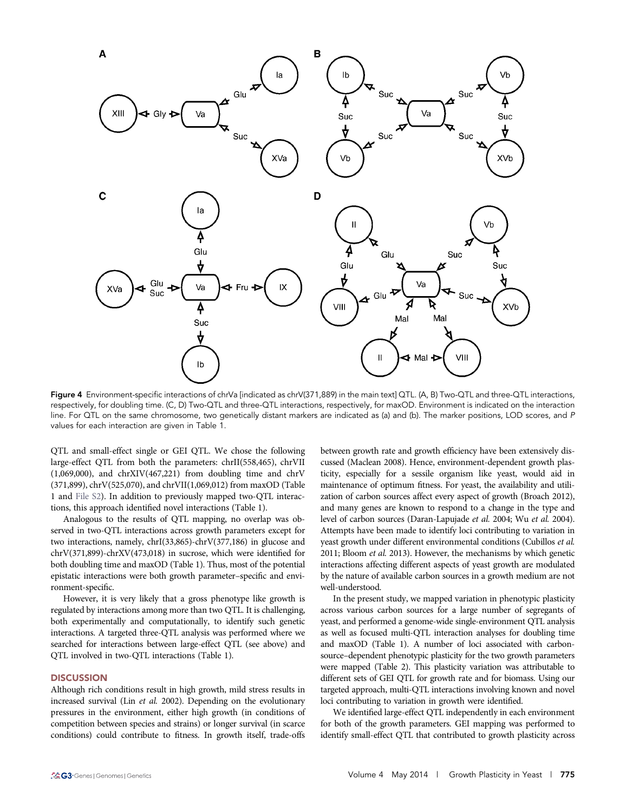

Figure 4 Environment-specific interactions of chrVa [indicated as chrV(371,889) in the main text] QTL. (A, B) Two-QTL and three-QTL interactions, respectively, for doubling time. (C, D) Two-QTL and three-QTL interactions, respectively, for maxOD. Environment is indicated on the interaction line. For QTL on the same chromosome, two genetically distant markers are indicated as (a) and (b). The marker positions, LOD scores, and P values for each interaction are given in Table 1.

QTL and small-effect single or GEI QTL. We chose the following large-effect QTL from both the parameters: chrII(558,465), chrVII (1,069,000), and chrXIV(467,221) from doubling time and chrV (371,899), chrV(525,070), and chrVII(1,069,012) from maxOD (Table 1 and File S2). In addition to previously mapped two-QTL interactions, this approach identified novel interactions (Table 1).

Analogous to the results of QTL mapping, no overlap was observed in two-QTL interactions across growth parameters except for two interactions, namely, chrI(33,865)-chrV(377,186) in glucose and chrV(371,899)-chrXV(473,018) in sucrose, which were identified for both doubling time and maxOD (Table 1). Thus, most of the potential epistatic interactions were both growth parameter–specific and environment-specific.

However, it is very likely that a gross phenotype like growth is regulated by interactions among more than two QTL. It is challenging, both experimentally and computationally, to identify such genetic interactions. A targeted three-QTL analysis was performed where we searched for interactions between large-effect QTL (see above) and QTL involved in two-QTL interactions (Table 1).

#### **DISCUSSION**

Although rich conditions result in high growth, mild stress results in increased survival (Lin *et al.* 2002). Depending on the evolutionary pressures in the environment, either high growth (in conditions of competition between species and strains) or longer survival (in scarce conditions) could contribute to fitness. In growth itself, trade-offs between growth rate and growth efficiency have been extensively discussed (Maclean 2008). Hence, environment-dependent growth plasticity, especially for a sessile organism like yeast, would aid in maintenance of optimum fitness. For yeast, the availability and utilization of carbon sources affect every aspect of growth (Broach 2012), and many genes are known to respond to a change in the type and level of carbon sources (Daran-Lapujade *et al.* 2004; Wu *et al.* 2004). Attempts have been made to identify loci contributing to variation in yeast growth under different environmental conditions (Cubillos *et al.* 2011; Bloom *et al.* 2013). However, the mechanisms by which genetic interactions affecting different aspects of yeast growth are modulated by the nature of available carbon sources in a growth medium are not well-understood.

In the present study, we mapped variation in phenotypic plasticity across various carbon sources for a large number of segregants of yeast, and performed a genome-wide single-environment QTL analysis as well as focused multi-QTL interaction analyses for doubling time and maxOD (Table 1). A number of loci associated with carbonsource–dependent phenotypic plasticity for the two growth parameters were mapped (Table 2). This plasticity variation was attributable to different sets of GEI QTL for growth rate and for biomass. Using our targeted approach, multi-QTL interactions involving known and novel loci contributing to variation in growth were identified.

We identified large-effect QTL independently in each environment for both of the growth parameters. GEI mapping was performed to identify small-effect QTL that contributed to growth plasticity across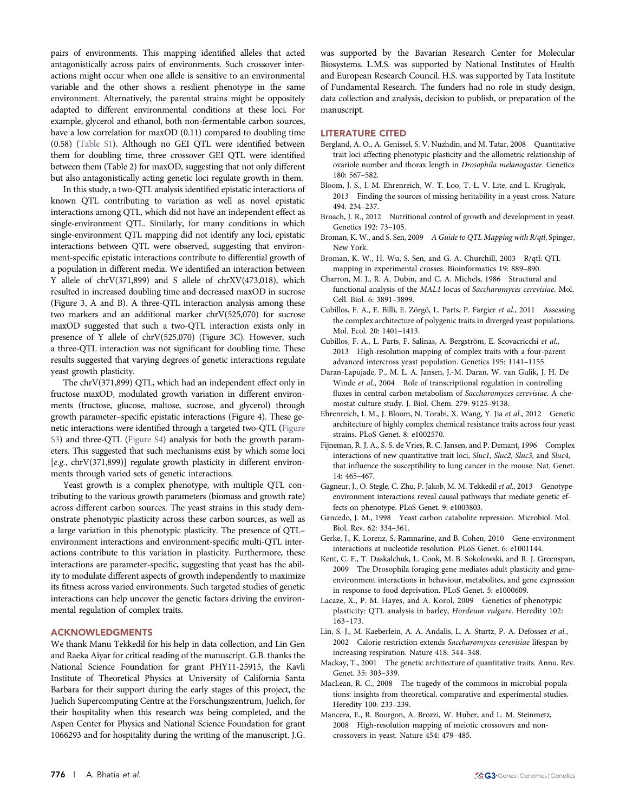pairs of environments. This mapping identified alleles that acted antagonistically across pairs of environments. Such crossover interactions might occur when one allele is sensitive to an environmental variable and the other shows a resilient phenotype in the same environment. Alternatively, the parental strains might be oppositely adapted to different environmental conditions at these loci. For example, glycerol and ethanol, both non-fermentable carbon sources, have a low correlation for maxOD (0.11) compared to doubling time (0.58) (Table S1). Although no GEI QTL were identified between them for doubling time, three crossover GEI QTL were identified between them (Table 2) for maxOD, suggesting that not only different but also antagonistically acting genetic loci regulate growth in them.

In this study, a two-QTL analysis identified epistatic interactions of known QTL contributing to variation as well as novel epistatic interactions among QTL, which did not have an independent effect as single-environment QTL. Similarly, for many conditions in which single-environment QTL mapping did not identify any loci, epistatic interactions between QTL were observed, suggesting that environment-specific epistatic interactions contribute to differential growth of a population in different media. We identified an interaction between Y allele of chrV(371,899) and S allele of chrXV(473,018), which resulted in increased doubling time and decreased maxOD in sucrose (Figure 3, A and B). A three-QTL interaction analysis among these two markers and an additional marker chrV(525,070) for sucrose maxOD suggested that such a two-QTL interaction exists only in presence of Y allele of chrV(525,070) (Figure 3C). However, such a three-QTL interaction was not significant for doubling time. These results suggested that varying degrees of genetic interactions regulate yeast growth plasticity.

The chrV(371,899) QTL, which had an independent effect only in fructose maxOD, modulated growth variation in different environments (fructose, glucose, maltose, sucrose, and glycerol) through growth parameter–specific epistatic interactions (Figure 4). These genetic interactions were identified through a targeted two-QTL (Figure S3) and three-QTL (Figure S4) analysis for both the growth parameters. This suggested that such mechanisms exist by which some loci [e.g., chrV(371,899)] regulate growth plasticity in different environments through varied sets of genetic interactions.

Yeast growth is a complex phenotype, with multiple QTL contributing to the various growth parameters (biomass and growth rate) across different carbon sources. The yeast strains in this study demonstrate phenotypic plasticity across these carbon sources, as well as a large variation in this phenotypic plasticity. The presence of QTL– environment interactions and environment-specific multi-QTL interactions contribute to this variation in plasticity. Furthermore, these interactions are parameter-specific, suggesting that yeast has the ability to modulate different aspects of growth independently to maximize its fitness across varied environments. Such targeted studies of genetic interactions can help uncover the genetic factors driving the environmental regulation of complex traits.

#### ACKNOWLEDGMENTS

We thank Manu Tekkedil for his help in data collection, and Lin Gen and Raeka Aiyar for critical reading of the manuscript. G.B. thanks the National Science Foundation for grant PHY11-25915, the Kavli Institute of Theoretical Physics at University of California Santa Barbara for their support during the early stages of this project, the Juelich Supercomputing Centre at the Forschungszentrum, Juelich, for their hospitality when this research was being completed, and the Aspen Center for Physics and National Science Foundation for grant 1066293 and for hospitality during the writing of the manuscript. J.G.

was supported by the Bavarian Research Center for Molecular Biosystems. L.M.S. was supported by National Institutes of Health and European Research Council. H.S. was supported by Tata Institute of Fundamental Research. The funders had no role in study design, data collection and analysis, decision to publish, or preparation of the manuscript.

#### LITERATURE CITED

- Bergland, A. O., A. Genissel, S. V. Nuzhdin, and M. Tatar, 2008 Quantitative trait loci affecting phenotypic plasticity and the allometric relationship of ovariole number and thorax length in *Drosophila melanogaster*. Genetics 180: 567–582.
- Bloom, J. S., I. M. Ehrenreich, W. T. Loo, T.-L. V. Lite, and L. Kruglyak, 2013 Finding the sources of missing heritability in a yeast cross. Nature 494: 234–237.
- Broach, J. R., 2012 Nutritional control of growth and development in yeast. Genetics 192: 73–105.
- Broman, K. W., and S. Sen, 2009 *A Guide to QTL Mapping with R/qtl*, Spinger, New York.
- Broman, K. W., H. Wu, S. Sen, and G. A. Churchill, 2003 R/qtl: QTL mapping in experimental crosses. Bioinformatics 19: 889–890.
- Charron, M. J., R. A. Dubin, and C. A. Michels, 1986 Structural and functional analysis of the *MAL1* locus of *Saccharomyces cerevisiae*. Mol. Cell. Biol. 6: 3891–3899.
- Cubillos, F. A., E. Billi, E. Zörgö, L. Parts, P. Fargier *et al.*, 2011 Assessing the complex architecture of polygenic traits in diverged yeast populations. Mol. Ecol. 20: 1401–1413.
- Cubillos, F. A., L. Parts, F. Salinas, A. Bergström, E. Scovacricchi *et al.*, 2013 High-resolution mapping of complex traits with a four-parent advanced intercross yeast population. Genetics 195: 1141–1155.
- Daran-Lapujade, P., M. L. A. Jansen, J.-M. Daran, W. van Gulik, J. H. De Winde *et al.*, 2004 Role of transcriptional regulation in controlling fluxes in central carbon metabolism of *Saccharomyces cerevisiae*. A chemostat culture study. J. Biol. Chem. 279: 9125–9138.
- Ehrenreich, I. M., J. Bloom, N. Torabi, X. Wang, Y. Jia *et al.*, 2012 Genetic architecture of highly complex chemical resistance traits across four yeast strains. PLoS Genet. 8: e1002570.
- Fijneman, R. J. A., S. S. de Vries, R. C. Jansen, and P. Demant, 1996 Complex interactions of new quantitative trait loci, *Sluc1*, *Sluc2*, *Sluc3*, and *Sluc4*, that influence the susceptibility to lung cancer in the mouse. Nat. Genet. 14: 465–467.
- Gagneur, J., O. Stegle, C. Zhu, P. Jakob, M. M. Tekkedil et al., 2013 Genotypeenvironment interactions reveal causal pathways that mediate genetic effects on phenotype. PLoS Genet. 9: e1003803.
- Gancedo, J. M., 1998 Yeast carbon catabolite repression. Microbiol. Mol. Biol. Rev. 62: 334–361.
- Gerke, J., K. Lorenz, S. Ramnarine, and B. Cohen, 2010 Gene-environment interactions at nucleotide resolution. PLoS Genet. 6: e1001144.
- Kent, C. F., T. Daskalchuk, L. Cook, M. B. Sokolowski, and R. J. Greenspan, 2009 The Drosophila foraging gene mediates adult plasticity and geneenvironment interactions in behaviour, metabolites, and gene expression in response to food deprivation. PLoS Genet. 5: e1000609.
- Lacaze, X., P. M. Hayes, and A. Korol, 2009 Genetics of phenotypic plasticity: QTL analysis in barley, *Hordeum vulgare*. Heredity 102: 163–173.
- Lin, S.-J., M. Kaeberlein, A. A. Andalis, L. A. Sturtz, P.-A. Defossez *et al.*, 2002 Calorie restriction extends *Saccharomyces cerevisiae* lifespan by increasing respiration. Nature 418: 344–348.
- Mackay, T., 2001 The genetic architecture of quantitative traits. Annu. Rev. Genet. 35: 303–339.
- MacLean, R. C., 2008 The tragedy of the commons in microbial populations: insights from theoretical, comparative and experimental studies. Heredity 100: 233–239.
- Mancera, E., R. Bourgon, A. Brozzi, W. Huber, and L. M. Steinmetz, 2008 High-resolution mapping of meiotic crossovers and noncrossovers in yeast. Nature 454: 479–485.